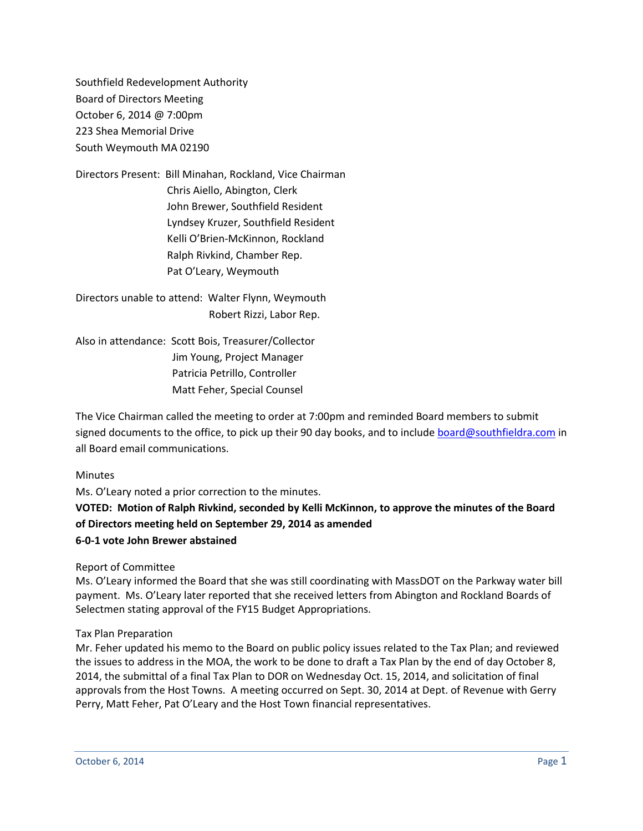Southfield Redevelopment Authority Board of Directors Meeting October 6, 2014 @ 7:00pm 223 Shea Memorial Drive South Weymouth MA 02190

Directors Present: Bill Minahan, Rockland, Vice Chairman Chris Aiello, Abington, Clerk John Brewer, Southfield Resident Lyndsey Kruzer, Southfield Resident Kelli O'Brien-McKinnon, Rockland Ralph Rivkind, Chamber Rep. Pat O'Leary, Weymouth

Directors unable to attend: Walter Flynn, Weymouth Robert Rizzi, Labor Rep.

Also in attendance: Scott Bois, Treasurer/Collector Jim Young, Project Manager Patricia Petrillo, Controller Matt Feher, Special Counsel

The Vice Chairman called the meeting to order at 7:00pm and reminded Board members to submit signed documents to the office, to pick up their 90 day books, and to include [board@southfieldra.com](mailto:board@southfieldra.com) in all Board email communications.

#### **Minutes**

Ms. O'Leary noted a prior correction to the minutes. **VOTED: Motion of Ralph Rivkind, seconded by Kelli McKinnon, to approve the minutes of the Board of Directors meeting held on September 29, 2014 as amended 6-0-1 vote John Brewer abstained**

Report of Committee

Ms. O'Leary informed the Board that she was still coordinating with MassDOT on the Parkway water bill payment. Ms. O'Leary later reported that she received letters from Abington and Rockland Boards of Selectmen stating approval of the FY15 Budget Appropriations.

#### Tax Plan Preparation

Mr. Feher updated his memo to the Board on public policy issues related to the Tax Plan; and reviewed the issues to address in the MOA, the work to be done to draft a Tax Plan by the end of day October 8, 2014, the submittal of a final Tax Plan to DOR on Wednesday Oct. 15, 2014, and solicitation of final approvals from the Host Towns. A meeting occurred on Sept. 30, 2014 at Dept. of Revenue with Gerry Perry, Matt Feher, Pat O'Leary and the Host Town financial representatives.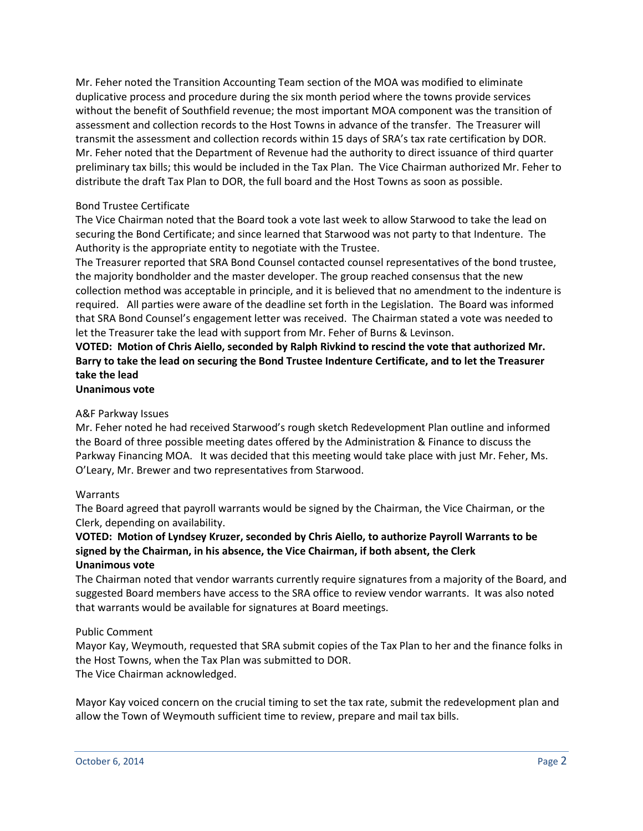Mr. Feher noted the Transition Accounting Team section of the MOA was modified to eliminate duplicative process and procedure during the six month period where the towns provide services without the benefit of Southfield revenue; the most important MOA component was the transition of assessment and collection records to the Host Towns in advance of the transfer. The Treasurer will transmit the assessment and collection records within 15 days of SRA's tax rate certification by DOR. Mr. Feher noted that the Department of Revenue had the authority to direct issuance of third quarter preliminary tax bills; this would be included in the Tax Plan. The Vice Chairman authorized Mr. Feher to distribute the draft Tax Plan to DOR, the full board and the Host Towns as soon as possible.

### Bond Trustee Certificate

The Vice Chairman noted that the Board took a vote last week to allow Starwood to take the lead on securing the Bond Certificate; and since learned that Starwood was not party to that Indenture. The Authority is the appropriate entity to negotiate with the Trustee.

The Treasurer reported that SRA Bond Counsel contacted counsel representatives of the bond trustee, the majority bondholder and the master developer. The group reached consensus that the new collection method was acceptable in principle, and it is believed that no amendment to the indenture is required. All parties were aware of the deadline set forth in the Legislation. The Board was informed that SRA Bond Counsel's engagement letter was received. The Chairman stated a vote was needed to let the Treasurer take the lead with support from Mr. Feher of Burns & Levinson.

# **VOTED: Motion of Chris Aiello, seconded by Ralph Rivkind to rescind the vote that authorized Mr. Barry to take the lead on securing the Bond Trustee Indenture Certificate, and to let the Treasurer take the lead**

# **Unanimous vote**

#### A&F Parkway Issues

Mr. Feher noted he had received Starwood's rough sketch Redevelopment Plan outline and informed the Board of three possible meeting dates offered by the Administration & Finance to discuss the Parkway Financing MOA. It was decided that this meeting would take place with just Mr. Feher, Ms. O'Leary, Mr. Brewer and two representatives from Starwood.

#### Warrants

The Board agreed that payroll warrants would be signed by the Chairman, the Vice Chairman, or the Clerk, depending on availability.

## **VOTED: Motion of Lyndsey Kruzer, seconded by Chris Aiello, to authorize Payroll Warrants to be signed by the Chairman, in his absence, the Vice Chairman, if both absent, the Clerk Unanimous vote**

The Chairman noted that vendor warrants currently require signatures from a majority of the Board, and suggested Board members have access to the SRA office to review vendor warrants. It was also noted that warrants would be available for signatures at Board meetings.

#### Public Comment

Mayor Kay, Weymouth, requested that SRA submit copies of the Tax Plan to her and the finance folks in the Host Towns, when the Tax Plan was submitted to DOR. The Vice Chairman acknowledged.

Mayor Kay voiced concern on the crucial timing to set the tax rate, submit the redevelopment plan and allow the Town of Weymouth sufficient time to review, prepare and mail tax bills.